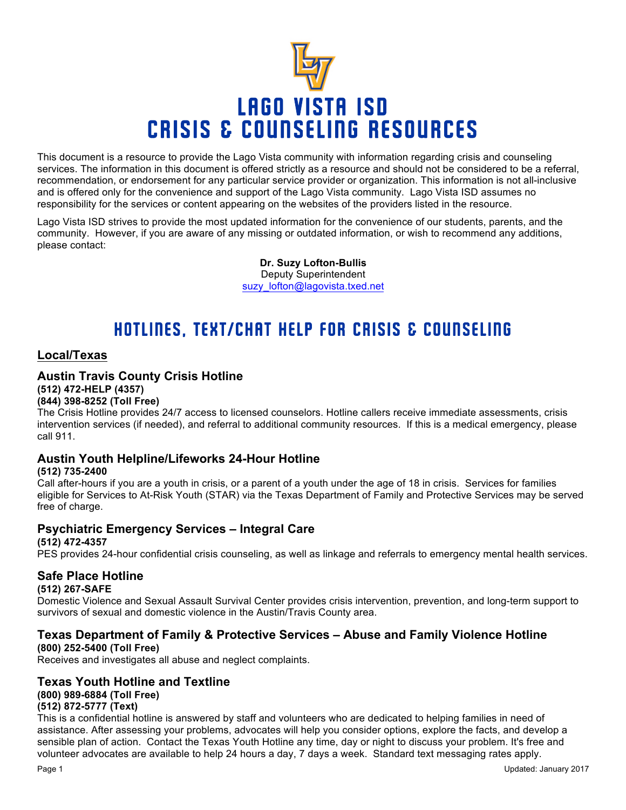

This document is a resource to provide the Lago Vista community with information regarding crisis and counseling services. The information in this document is offered strictly as a resource and should not be considered to be a referral, recommendation, or endorsement for any particular service provider or organization. This information is not all-inclusive and is offered only for the convenience and support of the Lago Vista community. Lago Vista ISD assumes no responsibility for the services or content appearing on the websites of the providers listed in the resource.

Lago Vista ISD strives to provide the most updated information for the convenience of our students, parents, and the community. However, if you are aware of any missing or outdated information, or wish to recommend any additions, please contact:

> **Dr. Suzy Lofton-Bullis** Deputy Superintendent suzy\_lofton@lagovista.txed.net

# HOTLINES, TEXT/CHAT HELP FOR CRISIS & COUNSELING

### **Local/Texas**

# **Austin Travis County Crisis Hotline (512) 472-HELP (4357)**

**(844) 398-8252 (Toll Free)**

The Crisis Hotline provides 24/7 access to licensed counselors. Hotline callers receive immediate assessments, crisis intervention services (if needed), and referral to additional community resources. If this is a medical emergency, please call 911.

# **Austin Youth Helpline/Lifeworks 24-Hour Hotline**

#### **(512) 735-2400**

Call after-hours if you are a youth in crisis, or a parent of a youth under the age of 18 in crisis. Services for families eligible for Services to At-Risk Youth (STAR) via the Texas Department of Family and Protective Services may be served free of charge.

# **Psychiatric Emergency Services – Integral Care**

**(512) 472-4357**

PES provides 24-hour confidential crisis counseling, as well as linkage and referrals to emergency mental health services.

#### **Safe Place Hotline**

#### **(512) 267-SAFE**

Domestic Violence and Sexual Assault Survival Center provides crisis intervention, prevention, and long-term support to survivors of sexual and domestic violence in the Austin/Travis County area.

# **Texas Department of Family & Protective Services – Abuse and Family Violence Hotline**

#### **(800) 252-5400 (Toll Free)**

Receives and investigates all abuse and neglect complaints.

#### **Texas Youth Hotline and Textline (800) 989-6884 (Toll Free)**

#### **(512) 872-5777 (Text)**

This is a confidential hotline is answered by staff and volunteers who are dedicated to helping families in need of assistance. After assessing your problems, advocates will help you consider options, explore the facts, and develop a sensible plan of action. Contact the Texas Youth Hotline any time, day or night to discuss your problem. It's free and volunteer advocates are available to help 24 hours a day, 7 days a week. Standard text messaging rates apply.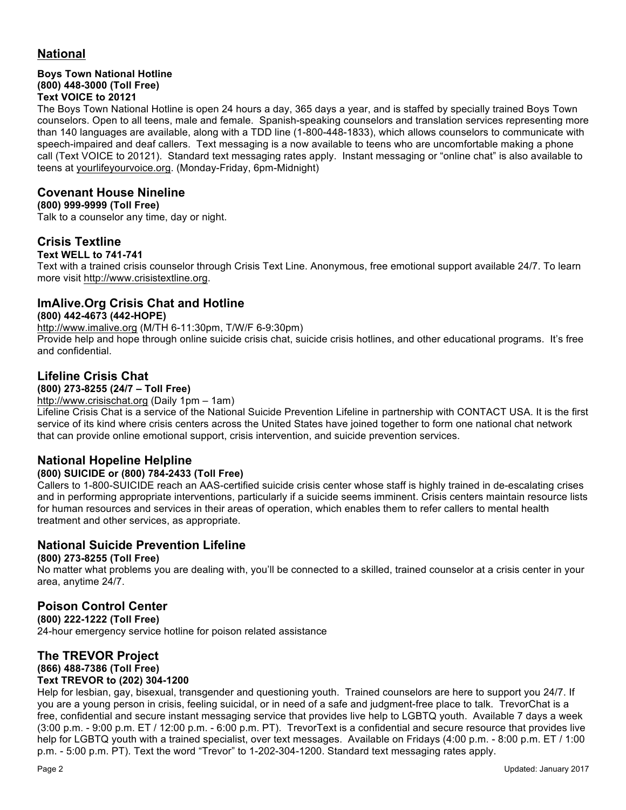# **National**

#### **Boys Town National Hotline (800) 448-3000 (Toll Free) Text VOICE to 20121**

The Boys Town National Hotline is open 24 hours a day, 365 days a year, and is staffed by specially trained Boys Town counselors. Open to all teens, male and female. Spanish-speaking counselors and translation services representing more than 140 languages are available, along with a TDD line (1-800-448-1833), which allows counselors to communicate with speech-impaired and deaf callers. Text messaging is a now available to teens who are uncomfortable making a phone call (Text VOICE to 20121). Standard text messaging rates apply. Instant messaging or "online chat" is also available to teens at yourlifeyourvoice.org. (Monday-Friday, 6pm-Midnight)

# **Covenant House Nineline**

#### **(800) 999-9999 (Toll Free)**

Talk to a counselor any time, day or night.

# **Crisis Textline**

#### **Text WELL to 741-741**

Text with a trained crisis counselor through Crisis Text Line. Anonymous, free emotional support available 24/7. To learn more visit http://www.crisistextline.org.

#### **ImAlive.Org Crisis Chat and Hotline**

#### **(800) 442-4673 (442-HOPE)**

http://www.imalive.org (M/TH 6-11:30pm, T/W/F 6-9:30pm)

Provide help and hope through online suicide crisis chat, suicide crisis hotlines, and other educational programs. It's free and confidential.

### **Lifeline Crisis Chat**

#### **(800) 273-8255 (24/7 – Toll Free)**

http://www.crisischat.org (Daily 1pm – 1am)

Lifeline Crisis Chat is a service of the National Suicide Prevention Lifeline in partnership with CONTACT USA. It is the first service of its kind where crisis centers across the United States have joined together to form one national chat network that can provide online emotional support, crisis intervention, and suicide prevention services.

# **National Hopeline Helpline**

#### **(800) SUICIDE or (800) 784-2433 (Toll Free)**

Callers to 1-800-SUICIDE reach an AAS-certified suicide crisis center whose staff is highly trained in de-escalating crises and in performing appropriate interventions, particularly if a suicide seems imminent. Crisis centers maintain resource lists for human resources and services in their areas of operation, which enables them to refer callers to mental health treatment and other services, as appropriate.

#### **National Suicide Prevention Lifeline**

#### **(800) 273-8255 (Toll Free)**

No matter what problems you are dealing with, you'll be connected to a skilled, trained counselor at a crisis center in your area, anytime 24/7.

#### **Poison Control Center**

**(800) 222-1222 (Toll Free)** 24-hour emergency service hotline for poison related assistance

#### **The TREVOR Project**

# **(866) 488-7386 (Toll Free)**

#### **Text TREVOR to (202) 304-1200**

Help for lesbian, gay, bisexual, transgender and questioning youth. Trained counselors are here to support you 24/7. If you are a young person in crisis, feeling suicidal, or in need of a safe and judgment-free place to talk. TrevorChat is a free, confidential and secure instant messaging service that provides live help to LGBTQ youth. Available 7 days a week (3:00 p.m. - 9:00 p.m. ET / 12:00 p.m. - 6:00 p.m. PT). TrevorText is a confidential and secure resource that provides live help for LGBTQ youth with a trained specialist, over text messages. Available on Fridays (4:00 p.m. - 8:00 p.m. ET / 1:00 p.m. - 5:00 p.m. PT). Text the word "Trevor" to 1-202-304-1200. Standard text messaging rates apply.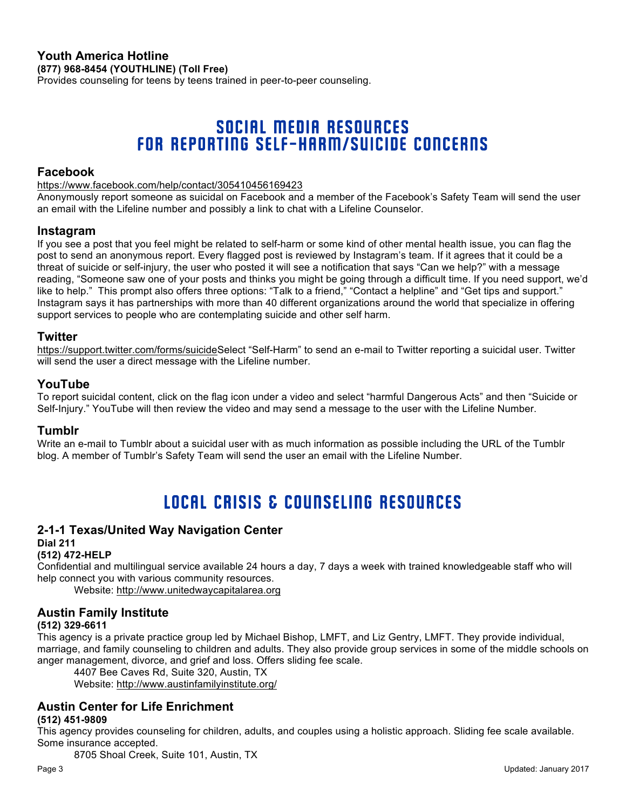#### **Youth America Hotline (877) 968-8454 (YOUTHLINE) (Toll Free)**

Provides counseling for teens by teens trained in peer-to-peer counseling.

# SOCIAL MEDIA RESOURCES FOR REPORTING SELF-HARM/SUICIDE CONCERNS

#### **Facebook**

https://www.facebook.com/help/contact/305410456169423

Anonymously report someone as suicidal on Facebook and a member of the Facebook's Safety Team will send the user an email with the Lifeline number and possibly a link to chat with a Lifeline Counselor.

#### **Instagram**

If you see a post that you feel might be related to self-harm or some kind of other mental health issue, you can flag the post to send an anonymous report. Every flagged post is reviewed by Instagram's team. If it agrees that it could be a threat of suicide or self-injury, the user who posted it will see a notification that says "Can we help?" with a message reading, "Someone saw one of your posts and thinks you might be going through a difficult time. If you need support, we'd like to help." This prompt also offers three options: "Talk to a friend," "Contact a helpline" and "Get tips and support." Instagram says it has partnerships with more than 40 different organizations around the world that specialize in offering support services to people who are contemplating suicide and other self harm.

#### **Twitter**

https://support.twitter.com/forms/suicideSelect "Self-Harm" to send an e-mail to Twitter reporting a suicidal user. Twitter will send the user a direct message with the Lifeline number.

#### **YouTube**

To report suicidal content, click on the flag icon under a video and select "harmful Dangerous Acts" and then "Suicide or Self-Injury." YouTube will then review the video and may send a message to the user with the Lifeline Number.

#### **Tumblr**

Write an e-mail to Tumblr about a suicidal user with as much information as possible including the URL of the Tumblr blog. A member of Tumblr's Safety Team will send the user an email with the Lifeline Number.

# LOCAL CRISIS & COUNSELING RESOURCES

#### **2-1-1 Texas/United Way Navigation Center**

#### **Dial 211**

#### **(512) 472-HELP**

Confidential and multilingual service available 24 hours a day, 7 days a week with trained knowledgeable staff who will help connect you with various community resources.

Website: http://www.unitedwaycapitalarea.org

#### **Austin Family Institute**

#### **(512) 329-6611**

This agency is a private practice group led by Michael Bishop, LMFT, and Liz Gentry, LMFT. They provide individual, marriage, and family counseling to children and adults. They also provide group services in some of the middle schools on anger management, divorce, and grief and loss. Offers sliding fee scale.

4407 Bee Caves Rd, Suite 320, Austin, TX

Website: http://www.austinfamilyinstitute.org/

# **Austin Center for Life Enrichment**

#### **(512) 451-9809**

This agency provides counseling for children, adults, and couples using a holistic approach. Sliding fee scale available. Some insurance accepted.

8705 Shoal Creek, Suite 101, Austin, TX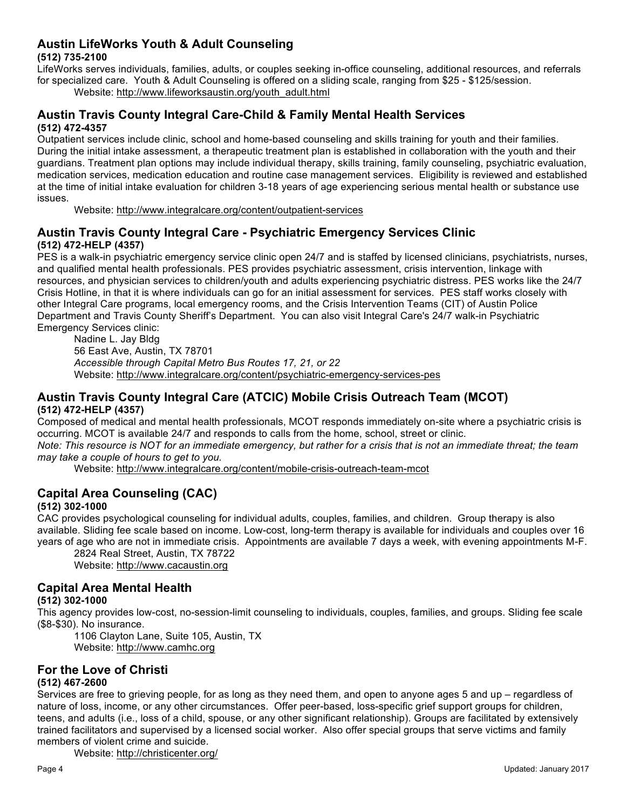#### **Austin LifeWorks Youth & Adult Counseling (512) 735-2100**

LifeWorks serves individuals, families, adults, or couples seeking in-office counseling, additional resources, and referrals for specialized care. Youth & Adult Counseling is offered on a sliding scale, ranging from \$25 - \$125/session. Website: http://www.lifeworksaustin.org/youth\_adult.html

#### **Austin Travis County Integral Care-Child & Family Mental Health Services (512) 472-4357**

Outpatient services include clinic, school and home-based counseling and skills training for youth and their families. During the initial intake assessment, a therapeutic treatment plan is established in collaboration with the youth and their guardians. Treatment plan options may include individual therapy, skills training, family counseling, psychiatric evaluation, medication services, medication education and routine case management services. Eligibility is reviewed and established at the time of initial intake evaluation for children 3-18 years of age experiencing serious mental health or substance use issues.

Website: http://www.integralcare.org/content/outpatient-services

### **Austin Travis County Integral Care - Psychiatric Emergency Services Clinic (512) 472-HELP (4357)**

PES is a walk-in psychiatric emergency service clinic open 24/7 and is staffed by licensed clinicians, psychiatrists, nurses, and qualified mental health professionals. PES provides psychiatric assessment, crisis intervention, linkage with resources, and physician services to children/youth and adults experiencing psychiatric distress. PES works like the 24/7 Crisis Hotline, in that it is where individuals can go for an initial assessment for services. PES staff works closely with other Integral Care programs, local emergency rooms, and the Crisis Intervention Teams (CIT) of Austin Police Department and Travis County Sheriff's Department. You can also visit Integral Care's 24/7 walk-in Psychiatric Emergency Services clinic:

Nadine L. Jay Bldg 56 East Ave, Austin, TX 78701 *Accessible through Capital Metro Bus Routes 17, 21, or 22* Website: http://www.integralcare.org/content/psychiatric-emergency-services-pes

# **Austin Travis County Integral Care (ATCIC) Mobile Crisis Outreach Team (MCOT) (512) 472-HELP (4357)**

Composed of medical and mental health professionals, MCOT responds immediately on-site where a psychiatric crisis is occurring. MCOT is available 24/7 and responds to calls from the home, school, street or clinic.

*Note: This resource is NOT for an immediate emergency, but rather for a crisis that is not an immediate threat; the team may take a couple of hours to get to you.*

Website: http://www.integralcare.org/content/mobile-crisis-outreach-team-mcot

# **Capital Area Counseling (CAC)**

#### **(512) 302-1000**

CAC provides psychological counseling for individual adults, couples, families, and children. Group therapy is also available. Sliding fee scale based on income. Low-cost, long-term therapy is available for individuals and couples over 16 years of age who are not in immediate crisis. Appointments are available 7 days a week, with evening appointments M-F.

2824 Real Street, Austin, TX 78722 Website: http://www.cacaustin.org

# **Capital Area Mental Health**

#### **(512) 302-1000**

This agency provides low-cost, no-session-limit counseling to individuals, couples, families, and groups. Sliding fee scale (\$8-\$30). No insurance.

1106 Clayton Lane, Suite 105, Austin, TX Website: http://www.camhc.org

# **For the Love of Christi (512) 467-2600**

Services are free to grieving people, for as long as they need them, and open to anyone ages 5 and up – regardless of nature of loss, income, or any other circumstances. Offer peer-based, loss-specific grief support groups for children, teens, and adults (i.e., loss of a child, spouse, or any other significant relationship). Groups are facilitated by extensively trained facilitators and supervised by a licensed social worker. Also offer special groups that serve victims and family members of violent crime and suicide.

Website: http://christicenter.org/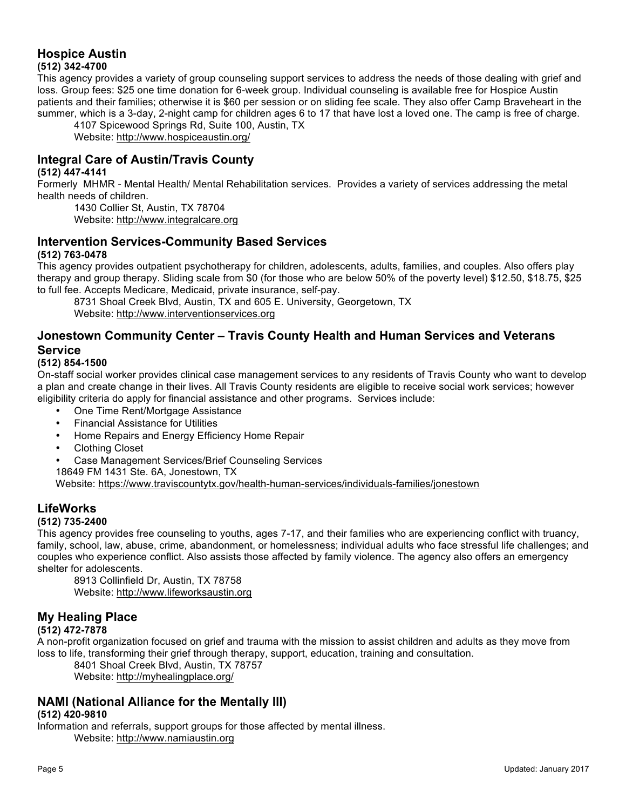#### **Hospice Austin (512) 342-4700**

This agency provides a variety of group counseling support services to address the needs of those dealing with grief and loss. Group fees: \$25 one time donation for 6-week group. Individual counseling is available free for Hospice Austin patients and their families; otherwise it is \$60 per session or on sliding fee scale. They also offer Camp Braveheart in the summer, which is a 3-day, 2-night camp for children ages 6 to 17 that have lost a loved one. The camp is free of charge.

4107 Spicewood Springs Rd, Suite 100, Austin, TX Website: http://www.hospiceaustin.org/

# **Integral Care of Austin/Travis County**

#### **(512) 447-4141**

Formerly MHMR - Mental Health/ Mental Rehabilitation services. Provides a variety of services addressing the metal health needs of children.

1430 Collier St, Austin, TX 78704 Website: http://www.integralcare.org

### **Intervention Services-Community Based Services**

#### **(512) 763-0478**

This agency provides outpatient psychotherapy for children, adolescents, adults, families, and couples. Also offers play therapy and group therapy. Sliding scale from \$0 (for those who are below 50% of the poverty level) \$12.50, \$18.75, \$25 to full fee. Accepts Medicare, Medicaid, private insurance, self-pay.

8731 Shoal Creek Blvd, Austin, TX and 605 E. University, Georgetown, TX Website: http://www.interventionservices.org

# **Jonestown Community Center – Travis County Health and Human Services and Veterans Service**

#### **(512) 854-1500**

On-staff social worker provides clinical case management services to any residents of Travis County who want to develop a plan and create change in their lives. All Travis County residents are eligible to receive social work services; however eligibility criteria do apply for financial assistance and other programs. Services include:

- One Time Rent/Mortgage Assistance
- Financial Assistance for Utilities
- Home Repairs and Energy Efficiency Home Repair
- Clothing Closet
- Case Management Services/Brief Counseling Services
- 18649 FM 1431 Ste. 6A, Jonestown, TX

Website: https://www.traviscountytx.gov/health-human-services/individuals-families/jonestown

# **LifeWorks**

#### **(512) 735-2400**

This agency provides free counseling to youths, ages 7-17, and their families who are experiencing conflict with truancy, family, school, law, abuse, crime, abandonment, or homelessness; individual adults who face stressful life challenges; and couples who experience conflict. Also assists those affected by family violence. The agency also offers an emergency shelter for adolescents.

8913 Collinfield Dr, Austin, TX 78758 Website: http://www.lifeworksaustin.org

# **My Healing Place**

#### **(512) 472-7878**

A non-profit organization focused on grief and trauma with the mission to assist children and adults as they move from loss to life, transforming their grief through therapy, support, education, training and consultation.

8401 Shoal Creek Blvd, Austin, TX 78757 Website: http://myhealingplace.org/

#### **NAMI (National Alliance for the Mentally Ill)**

#### **(512) 420-9810**

Information and referrals, support groups for those affected by mental illness. Website: http://www.namiaustin.org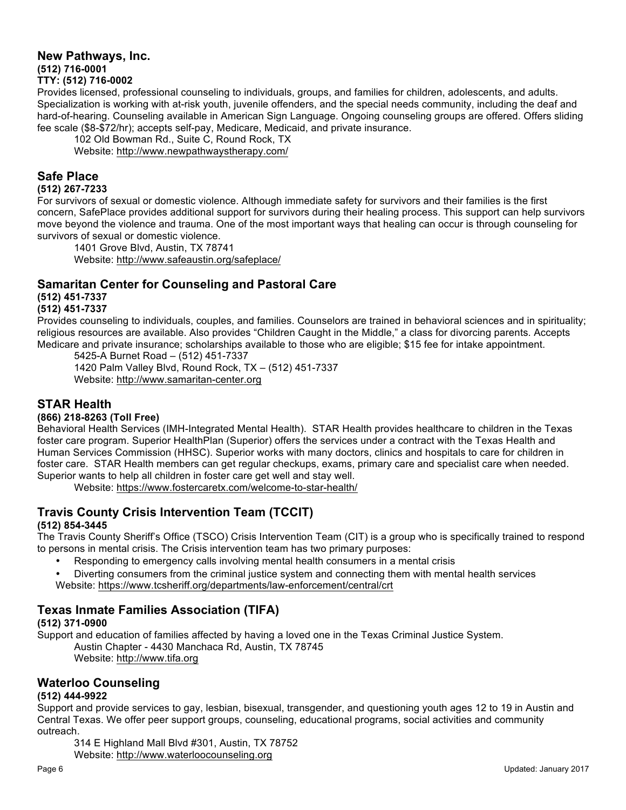#### **New Pathways, Inc. (512) 716-0001 TTY: (512) 716-0002**

Provides licensed, professional counseling to individuals, groups, and families for children, adolescents, and adults. Specialization is working with at-risk youth, juvenile offenders, and the special needs community, including the deaf and hard-of-hearing. Counseling available in American Sign Language. Ongoing counseling groups are offered. Offers sliding fee scale (\$8-\$72/hr); accepts self-pay, Medicare, Medicaid, and private insurance.

102 Old Bowman Rd., Suite C, Round Rock, TX Website: http://www.newpathwaystherapy.com/

#### **Safe Place**

#### **(512) 267-7233**

For survivors of sexual or domestic violence. Although immediate safety for survivors and their families is the first concern, SafePlace provides additional support for survivors during their healing process. This support can help survivors move beyond the violence and trauma. One of the most important ways that healing can occur is through counseling for survivors of sexual or domestic violence.

1401 Grove Blvd, Austin, TX 78741 Website: http://www.safeaustin.org/safeplace/

#### **Samaritan Center for Counseling and Pastoral Care**

**(512) 451-7337**

#### **(512) 451-7337**

Provides counseling to individuals, couples, and families. Counselors are trained in behavioral sciences and in spirituality; religious resources are available. Also provides "Children Caught in the Middle," a class for divorcing parents. Accepts Medicare and private insurance; scholarships available to those who are eligible; \$15 fee for intake appointment. 5425-A Burnet Road – (512) 451-7337

1420 Palm Valley Blvd, Round Rock, TX – (512) 451-7337 Website: http://www.samaritan-center.org

#### **STAR Health**

#### **(866) 218-8263 (Toll Free)**

Behavioral Health Services (IMH-Integrated Mental Health). STAR Health provides healthcare to children in the Texas foster care program. Superior HealthPlan (Superior) offers the services under a contract with the Texas Health and Human Services Commission (HHSC). Superior works with many doctors, clinics and hospitals to care for children in foster care. STAR Health members can get regular checkups, exams, primary care and specialist care when needed. Superior wants to help all children in foster care get well and stay well.

Website: https://www.fostercaretx.com/welcome-to-star-health/

# **Travis County Crisis Intervention Team (TCCIT)**

#### **(512) 854-3445**

The Travis County Sheriff's Office (TSCO) Crisis Intervention Team (CIT) is a group who is specifically trained to respond to persons in mental crisis. The Crisis intervention team has two primary purposes:

• Responding to emergency calls involving mental health consumers in a mental crisis

• Diverting consumers from the criminal justice system and connecting them with mental health services Website: https://www.tcsheriff.org/departments/law-enforcement/central/crt

# **Texas Inmate Families Association (TIFA)**

#### **(512) 371-0900**

Support and education of families affected by having a loved one in the Texas Criminal Justice System. Austin Chapter - 4430 Manchaca Rd, Austin, TX 78745 Website: http://www.tifa.org

#### **Waterloo Counseling**

#### **(512) 444-9922**

Support and provide services to gay, lesbian, bisexual, transgender, and questioning youth ages 12 to 19 in Austin and Central Texas. We offer peer support groups, counseling, educational programs, social activities and community outreach.

314 E Highland Mall Blvd #301, Austin, TX 78752 Website: http://www.waterloocounseling.org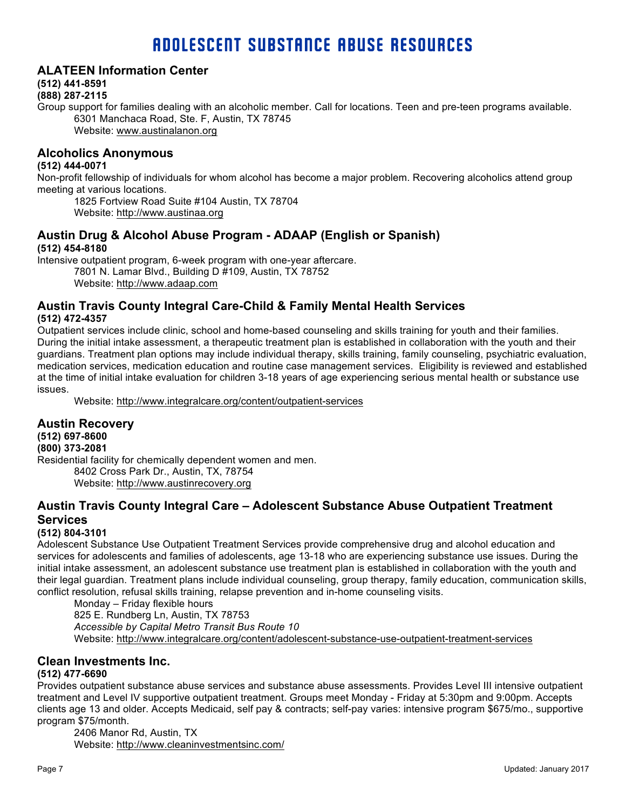# ADOLESCENT SUBSTANCE ABUSE RESOURCES

#### **ALATEEN Information Center**

#### **(512) 441-8591**

#### **(888) 287-2115**

Group support for families dealing with an alcoholic member. Call for locations. Teen and pre-teen programs available. 6301 Manchaca Road, Ste. F, Austin, TX 78745 Website: www.austinalanon.org

#### **Alcoholics Anonymous**

#### **(512) 444-0071**

Non-profit fellowship of individuals for whom alcohol has become a major problem. Recovering alcoholics attend group meeting at various locations.

1825 Fortview Road Suite #104 Austin, TX 78704

Website: http://www.austinaa.org

#### **Austin Drug & Alcohol Abuse Program - ADAAP (English or Spanish) (512) 454-8180**

Intensive outpatient program, 6-week program with one-year aftercare.

7801 N. Lamar Blvd., Building D #109, Austin, TX 78752 Website: http://www.adaap.com

#### **Austin Travis County Integral Care-Child & Family Mental Health Services (512) 472-4357**

Outpatient services include clinic, school and home-based counseling and skills training for youth and their families. During the initial intake assessment, a therapeutic treatment plan is established in collaboration with the youth and their guardians. Treatment plan options may include individual therapy, skills training, family counseling, psychiatric evaluation, medication services, medication education and routine case management services. Eligibility is reviewed and established at the time of initial intake evaluation for children 3-18 years of age experiencing serious mental health or substance use issues.

Website: http://www.integralcare.org/content/outpatient-services

# **Austin Recovery**

**(512) 697-8600 (800) 373-2081** Residential facility for chemically dependent women and men. 8402 Cross Park Dr., Austin, TX, 78754 Website: http://www.austinrecovery.org

# **Austin Travis County Integral Care – Adolescent Substance Abuse Outpatient Treatment Services**

#### **(512) 804-3101**

Adolescent Substance Use Outpatient Treatment Services provide comprehensive drug and alcohol education and services for adolescents and families of adolescents, age 13-18 who are experiencing substance use issues. During the initial intake assessment, an adolescent substance use treatment plan is established in collaboration with the youth and their legal guardian. Treatment plans include individual counseling, group therapy, family education, communication skills, conflict resolution, refusal skills training, relapse prevention and in-home counseling visits.

Monday – Friday flexible hours 825 E. Rundberg Ln, Austin, TX 78753 *Accessible by Capital Metro Transit Bus Route 10* Website: http://www.integralcare.org/content/adolescent-substance-use-outpatient-treatment-services

#### **Clean Investments Inc.**

#### **(512) 477-6690**

Provides outpatient substance abuse services and substance abuse assessments. Provides Level III intensive outpatient treatment and Level IV supportive outpatient treatment. Groups meet Monday - Friday at 5:30pm and 9:00pm. Accepts clients age 13 and older. Accepts Medicaid, self pay & contracts; self-pay varies: intensive program \$675/mo., supportive program \$75/month.

2406 Manor Rd, Austin, TX Website: http://www.cleaninvestmentsinc.com/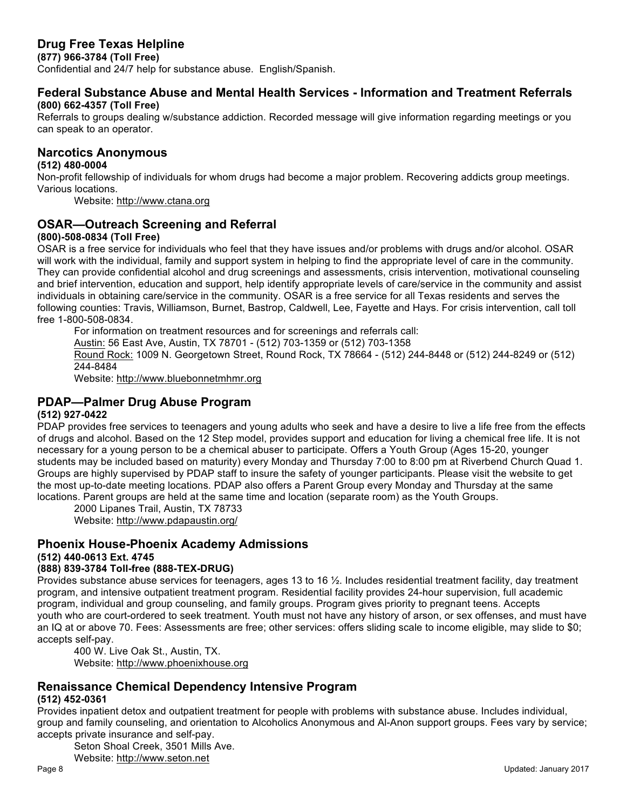# **Drug Free Texas Helpline**

**(877) 966-3784 (Toll Free)**

Confidential and 24/7 help for substance abuse. English/Spanish.

# **Federal Substance Abuse and Mental Health Services - Information and Treatment Referrals**

#### **(800) 662-4357 (Toll Free)**

Referrals to groups dealing w/substance addiction. Recorded message will give information regarding meetings or you can speak to an operator.

#### **Narcotics Anonymous**

#### **(512) 480-0004**

Non-profit fellowship of individuals for whom drugs had become a major problem. Recovering addicts group meetings. Various locations.

Website: http://www.ctana.org

# **OSAR—Outreach Screening and Referral**

#### **(800)-508-0834 (Toll Free)**

OSAR is a free service for individuals who feel that they have issues and/or problems with drugs and/or alcohol. OSAR will work with the individual, family and support system in helping to find the appropriate level of care in the community. They can provide confidential alcohol and drug screenings and assessments, crisis intervention, motivational counseling and brief intervention, education and support, help identify appropriate levels of care/service in the community and assist individuals in obtaining care/service in the community. OSAR is a free service for all Texas residents and serves the following counties: Travis, Williamson, Burnet, Bastrop, Caldwell, Lee, Fayette and Hays. For crisis intervention, call toll free 1-800-508-0834.

For information on treatment resources and for screenings and referrals call:

Austin: 56 East Ave, Austin, TX 78701 - (512) 703-1359 or (512) 703-1358

Round Rock: 1009 N. Georgetown Street, Round Rock, TX 78664 - (512) 244-8448 or (512) 244-8249 or (512) 244-8484

Website: http://www.bluebonnetmhmr.org

# **PDAP—Palmer Drug Abuse Program**

#### **(512) 927-0422**

PDAP provides free services to teenagers and young adults who seek and have a desire to live a life free from the effects of drugs and alcohol. Based on the 12 Step model, provides support and education for living a chemical free life. It is not necessary for a young person to be a chemical abuser to participate. Offers a Youth Group (Ages 15-20, younger students may be included based on maturity) every Monday and Thursday 7:00 to 8:00 pm at Riverbend Church Quad 1. Groups are highly supervised by PDAP staff to insure the safety of younger participants. Please visit the website to get the most up-to-date meeting locations. PDAP also offers a Parent Group every Monday and Thursday at the same locations. Parent groups are held at the same time and location (separate room) as the Youth Groups.

2000 Lipanes Trail, Austin, TX 78733 Website: http://www.pdapaustin.org/

# **Phoenix House-Phoenix Academy Admissions**

**(512) 440-0613 Ext. 4745**

# **(888) 839-3784 Toll-free (888-TEX-DRUG)**

Provides substance abuse services for teenagers, ages 13 to 16 ½. Includes residential treatment facility, day treatment program, and intensive outpatient treatment program. Residential facility provides 24-hour supervision, full academic program, individual and group counseling, and family groups. Program gives priority to pregnant teens. Accepts youth who are court-ordered to seek treatment. Youth must not have any history of arson, or sex offenses, and must have an IQ at or above 70. Fees: Assessments are free; other services: offers sliding scale to income eligible, may slide to \$0; accepts self-pay.

400 W. Live Oak St., Austin, TX. Website: http://www.phoenixhouse.org

# **Renaissance Chemical Dependency Intensive Program**

#### **(512) 452-0361**

Provides inpatient detox and outpatient treatment for people with problems with substance abuse. Includes individual, group and family counseling, and orientation to Alcoholics Anonymous and Al-Anon support groups. Fees vary by service; accepts private insurance and self-pay.

Seton Shoal Creek, 3501 Mills Ave. Website: http://www.seton.net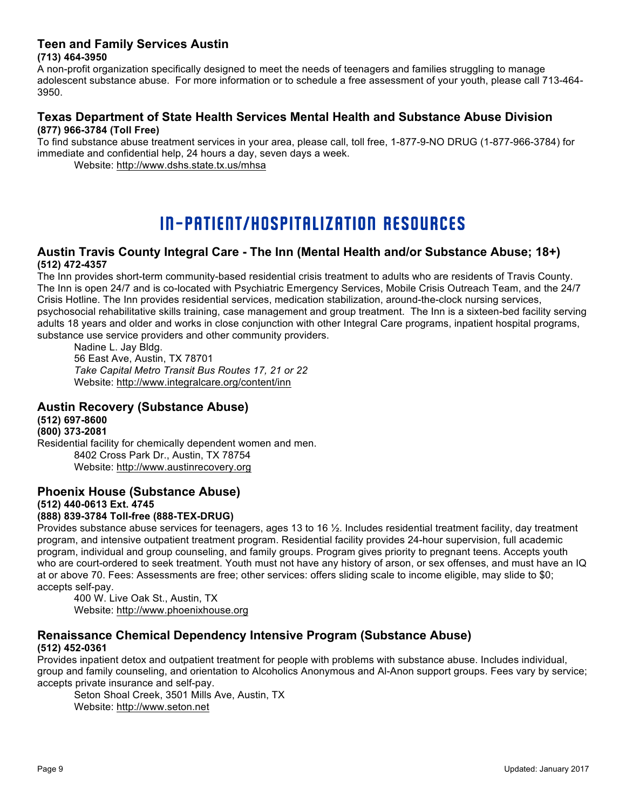# **Teen and Family Services Austin**

#### **(713) 464-3950**

A non-profit organization specifically designed to meet the needs of teenagers and families struggling to manage adolescent substance abuse. For more information or to schedule a free assessment of your youth, please call 713-464- 3950.

#### **Texas Department of State Health Services Mental Health and Substance Abuse Division (877) 966-3784 (Toll Free)**

To find substance abuse treatment services in your area, please call, toll free, 1-877-9-NO DRUG (1-877-966-3784) for immediate and confidential help, 24 hours a day, seven days a week.

Website: http://www.dshs.state.tx.us/mhsa

# IN-PATIENT/HOSPITALIZATION RESOURCES

#### **Austin Travis County Integral Care - The Inn (Mental Health and/or Substance Abuse; 18+) (512) 472-4357**

The Inn provides short-term community-based residential crisis treatment to adults who are residents of Travis County. The Inn is open 24/7 and is co-located with Psychiatric Emergency Services, Mobile Crisis Outreach Team, and the 24/7 Crisis Hotline. The Inn provides residential services, medication stabilization, around-the-clock nursing services, psychosocial rehabilitative skills training, case management and group treatment. The Inn is a sixteen-bed facility serving adults 18 years and older and works in close conjunction with other Integral Care programs, inpatient hospital programs, substance use service providers and other community providers.

Nadine L. Jay Bldg. 56 East Ave, Austin, TX 78701 *Take Capital Metro Transit Bus Routes 17, 21 or 22*  Website: http://www.integralcare.org/content/inn

#### **Austin Recovery (Substance Abuse)**

**(512) 697-8600 (800) 373-2081**

Residential facility for chemically dependent women and men. 8402 Cross Park Dr., Austin, TX 78754 Website: http://www.austinrecovery.org

# **Phoenix House (Substance Abuse) (512) 440-0613 Ext. 4745**

#### **(888) 839-3784 Toll-free (888-TEX-DRUG)**

Provides substance abuse services for teenagers, ages 13 to 16 ½. Includes residential treatment facility, day treatment program, and intensive outpatient treatment program. Residential facility provides 24-hour supervision, full academic program, individual and group counseling, and family groups. Program gives priority to pregnant teens. Accepts youth who are court-ordered to seek treatment. Youth must not have any history of arson, or sex offenses, and must have an IQ at or above 70. Fees: Assessments are free; other services: offers sliding scale to income eligible, may slide to \$0; accepts self-pay.

400 W. Live Oak St., Austin, TX Website: http://www.phoenixhouse.org

#### **Renaissance Chemical Dependency Intensive Program (Substance Abuse) (512) 452-0361**

#### Provides inpatient detox and outpatient treatment for people with problems with substance abuse. Includes individual, group and family counseling, and orientation to Alcoholics Anonymous and Al-Anon support groups. Fees vary by service; accepts private insurance and self-pay.

Seton Shoal Creek, 3501 Mills Ave, Austin, TX Website: http://www.seton.net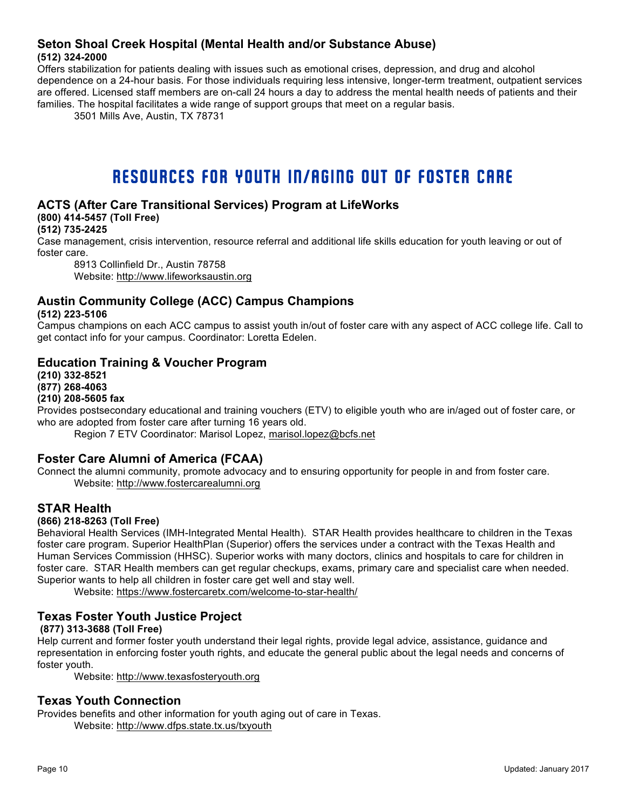#### **Seton Shoal Creek Hospital (Mental Health and/or Substance Abuse) (512) 324-2000**

Offers stabilization for patients dealing with issues such as emotional crises, depression, and drug and alcohol dependence on a 24-hour basis. For those individuals requiring less intensive, longer-term treatment, outpatient services are offered. Licensed staff members are on-call 24 hours a day to address the mental health needs of patients and their families. The hospital facilitates a wide range of support groups that meet on a regular basis.

3501 Mills Ave, Austin, TX 78731

# RESOURCES FOR YOUTH IN/AGING OUT OF FOSTER CARE

# **ACTS (After Care Transitional Services) Program at LifeWorks**

**(800) 414-5457 (Toll Free)**

**(512) 735-2425**

Case management, crisis intervention, resource referral and additional life skills education for youth leaving or out of foster care.

8913 Collinfield Dr., Austin 78758 Website: http://www.lifeworksaustin.org

# **Austin Community College (ACC) Campus Champions**

**(512) 223-5106**

Campus champions on each ACC campus to assist youth in/out of foster care with any aspect of ACC college life. Call to get contact info for your campus. Coordinator: Loretta Edelen.

### **Education Training & Voucher Program**

**(210) 332-8521 (877) 268-4063** 

#### **(210) 208-5605 fax**

Provides postsecondary educational and training vouchers (ETV) to eligible youth who are in/aged out of foster care, or who are adopted from foster care after turning 16 years old.

Region 7 ETV Coordinator: Marisol Lopez, marisol.lopez@bcfs.net

#### **Foster Care Alumni of America (FCAA)**

Connect the alumni community, promote advocacy and to ensuring opportunity for people in and from foster care. Website: http://www.fostercarealumni.org

#### **STAR Health**

#### **(866) 218-8263 (Toll Free)**

Behavioral Health Services (IMH-Integrated Mental Health). STAR Health provides healthcare to children in the Texas foster care program. Superior HealthPlan (Superior) offers the services under a contract with the Texas Health and Human Services Commission (HHSC). Superior works with many doctors, clinics and hospitals to care for children in foster care. STAR Health members can get regular checkups, exams, primary care and specialist care when needed. Superior wants to help all children in foster care get well and stay well.

Website: https://www.fostercaretx.com/welcome-to-star-health/

# **Texas Foster Youth Justice Project**

#### **(877) 313-3688 (Toll Free)**

Help current and former foster youth understand their legal rights, provide legal advice, assistance, guidance and representation in enforcing foster youth rights, and educate the general public about the legal needs and concerns of foster youth.

Website: http://www.texasfosteryouth.org

#### **Texas Youth Connection**

Provides benefits and other information for youth aging out of care in Texas. Website: http://www.dfps.state.tx.us/txyouth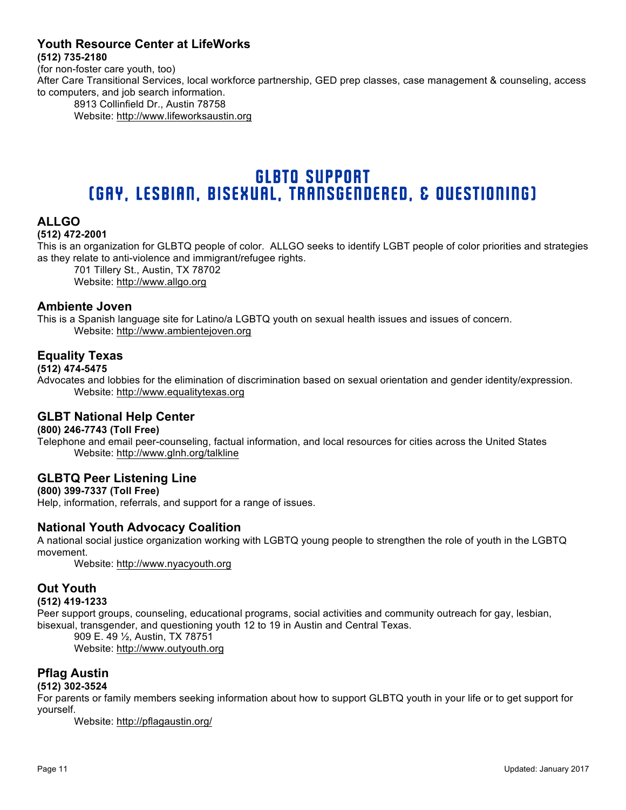#### **Youth Resource Center at LifeWorks (512) 735-2180**

(for non-foster care youth, too) After Care Transitional Services, local workforce partnership, GED prep classes, case management & counseling, access to computers, and job search information.

8913 Collinfield Dr., Austin 78758 Website: http://www.lifeworksaustin.org

# GLBTQ SUPPORT (Gay, Lesbian, Bisexual, Transgendered, & Questioning)

# **ALLGO**

#### **(512) 472-2001**

This is an organization for GLBTQ people of color. ALLGO seeks to identify LGBT people of color priorities and strategies as they relate to anti-violence and immigrant/refugee rights.

701 Tillery St., Austin, TX 78702

Website: http://www.allgo.org

#### **Ambiente Joven**

This is a Spanish language site for Latino/a LGBTQ youth on sexual health issues and issues of concern. Website: http://www.ambientejoven.org

# **Equality Texas**

#### **(512) 474-5475**

Advocates and lobbies for the elimination of discrimination based on sexual orientation and gender identity/expression. Website: http://www.equalitytexas.org

#### **GLBT National Help Center**

#### **(800) 246-7743 (Toll Free)**

Telephone and email peer-counseling, factual information, and local resources for cities across the United States Website: http://www.glnh.org/talkline

# **GLBTQ Peer Listening Line**

**(800) 399-7337 (Toll Free)** Help, information, referrals, and support for a range of issues.

#### **National Youth Advocacy Coalition**

A national social justice organization working with LGBTQ young people to strengthen the role of youth in the LGBTQ movement.

Website: http://www.nyacyouth.org

#### **Out Youth**

#### **(512) 419-1233**

Peer support groups, counseling, educational programs, social activities and community outreach for gay, lesbian, bisexual, transgender, and questioning youth 12 to 19 in Austin and Central Texas.

909 E. 49 ½, Austin, TX 78751 Website: http://www.outyouth.org

#### **Pflag Austin**

#### **(512) 302-3524**

For parents or family members seeking information about how to support GLBTQ youth in your life or to get support for yourself.

Website: http://pflagaustin.org/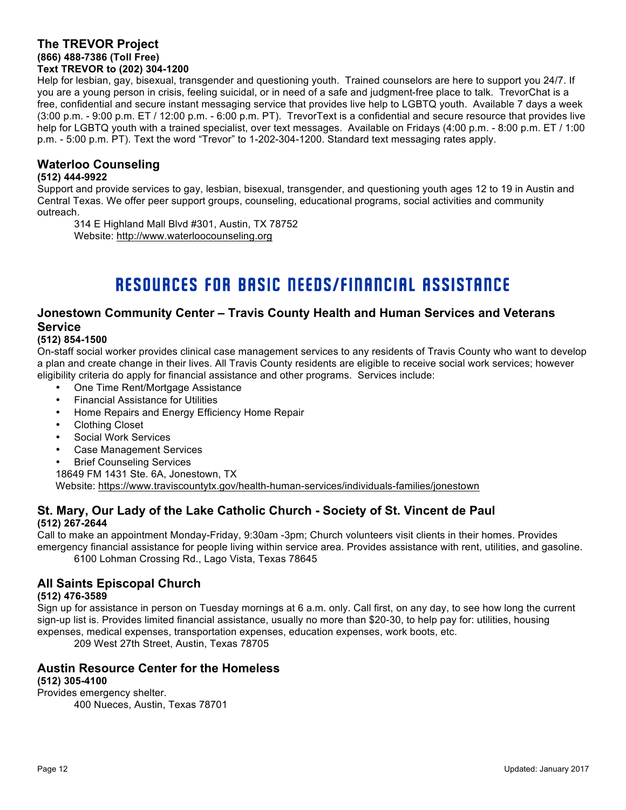#### **The TREVOR Project (866) 488-7386 (Toll Free) Text TREVOR to (202) 304-1200**

Help for lesbian, gay, bisexual, transgender and questioning youth. Trained counselors are here to support you 24/7. If you are a young person in crisis, feeling suicidal, or in need of a safe and judgment-free place to talk. TrevorChat is a free, confidential and secure instant messaging service that provides live help to LGBTQ youth. Available 7 days a week (3:00 p.m. - 9:00 p.m. ET / 12:00 p.m. - 6:00 p.m. PT). TrevorText is a confidential and secure resource that provides live help for LGBTQ youth with a trained specialist, over text messages. Available on Fridays (4:00 p.m. - 8:00 p.m. ET / 1:00 p.m. - 5:00 p.m. PT). Text the word "Trevor" to 1-202-304-1200. Standard text messaging rates apply.

# **Waterloo Counseling**

#### **(512) 444-9922**

Support and provide services to gay, lesbian, bisexual, transgender, and questioning youth ages 12 to 19 in Austin and Central Texas. We offer peer support groups, counseling, educational programs, social activities and community outreach.

314 E Highland Mall Blvd #301, Austin, TX 78752 Website: http://www.waterloocounseling.org

# RESOURCES FOR BASIC NEEDS/FINANCIAL ASSISTANCE

# **Jonestown Community Center – Travis County Health and Human Services and Veterans Service**

#### **(512) 854-1500**

On-staff social worker provides clinical case management services to any residents of Travis County who want to develop a plan and create change in their lives. All Travis County residents are eligible to receive social work services; however eligibility criteria do apply for financial assistance and other programs. Services include:

- One Time Rent/Mortgage Assistance
- Financial Assistance for Utilities
- Home Repairs and Energy Efficiency Home Repair
- Clothing Closet
- Social Work Services
- Case Management Services
- **Brief Counseling Services**

18649 FM 1431 Ste. 6A, Jonestown, TX Website: https://www.traviscountytx.gov/health-human-services/individuals-families/jonestown

#### **St. Mary, Our Lady of the Lake Catholic Church - Society of St. Vincent de Paul (512) 267-2644**

Call to make an appointment Monday-Friday, 9:30am -3pm; Church volunteers visit clients in their homes. Provides emergency financial assistance for people living within service area. Provides assistance with rent, utilities, and gasoline. 6100 Lohman Crossing Rd., Lago Vista, Texas 78645

# **All Saints Episcopal Church**

#### **(512) 476-3589**

Sign up for assistance in person on Tuesday mornings at 6 a.m. only. Call first, on any day, to see how long the current sign-up list is. Provides limited financial assistance, usually no more than \$20-30, to help pay for: utilities, housing expenses, medical expenses, transportation expenses, education expenses, work boots, etc.

209 West 27th Street, Austin, Texas 78705

#### **Austin Resource Center for the Homeless (512) 305-4100**

Provides emergency shelter. 400 Nueces, Austin, Texas 78701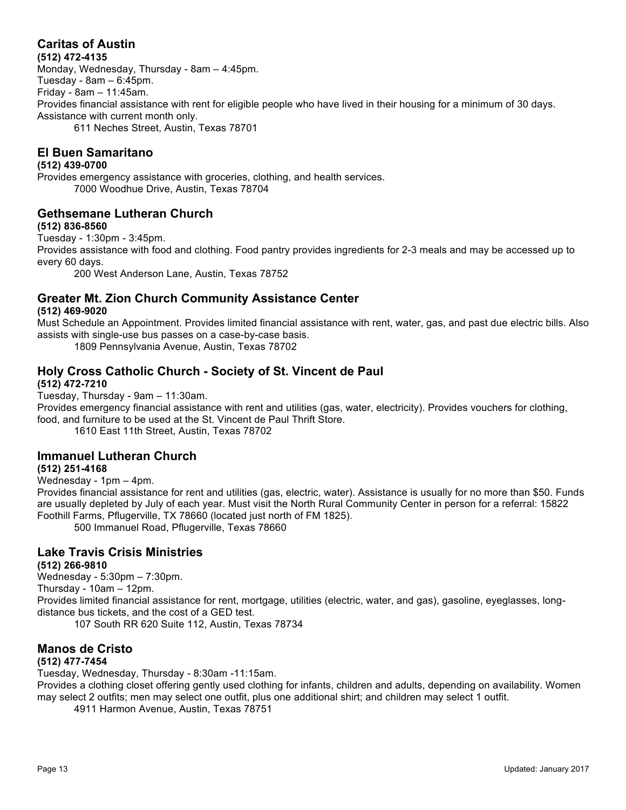# **Caritas of Austin**

**(512) 472-4135**

Monday, Wednesday, Thursday - 8am – 4:45pm. Tuesday - 8am – 6:45pm. Friday - 8am – 11:45am. Provides financial assistance with rent for eligible people who have lived in their housing for a minimum of 30 days. Assistance with current month only. 611 Neches Street, Austin, Texas 78701

# **El Buen Samaritano**

#### **(512) 439-0700**

Provides emergency assistance with groceries, clothing, and health services. 7000 Woodhue Drive, Austin, Texas 78704

### **Gethsemane Lutheran Church**

#### **(512) 836-8560**

Tuesday - 1:30pm - 3:45pm.

Provides assistance with food and clothing. Food pantry provides ingredients for 2-3 meals and may be accessed up to every 60 days.

200 West Anderson Lane, Austin, Texas 78752

# **Greater Mt. Zion Church Community Assistance Center**

#### **(512) 469-9020**

Must Schedule an Appointment. Provides limited financial assistance with rent, water, gas, and past due electric bills. Also assists with single-use bus passes on a case-by-case basis.

1809 Pennsylvania Avenue, Austin, Texas 78702

# **Holy Cross Catholic Church - Society of St. Vincent de Paul**

#### **(512) 472-7210**

Tuesday, Thursday - 9am – 11:30am.

Provides emergency financial assistance with rent and utilities (gas, water, electricity). Provides vouchers for clothing, food, and furniture to be used at the St. Vincent de Paul Thrift Store.

1610 East 11th Street, Austin, Texas 78702

# **Immanuel Lutheran Church**

#### **(512) 251-4168**

Wednesday - 1pm – 4pm.

Provides financial assistance for rent and utilities (gas, electric, water). Assistance is usually for no more than \$50. Funds are usually depleted by July of each year. Must visit the North Rural Community Center in person for a referral: 15822 Foothill Farms, Pflugerville, TX 78660 (located just north of FM 1825).

500 Immanuel Road, Pflugerville, Texas 78660

#### **Lake Travis Crisis Ministries (512) 266-9810**

Wednesday - 5:30pm – 7:30pm. Thursday - 10am – 12pm. Provides limited financial assistance for rent, mortgage, utilities (electric, water, and gas), gasoline, eyeglasses, longdistance bus tickets, and the cost of a GED test.

107 South RR 620 Suite 112, Austin, Texas 78734

# **Manos de Cristo**

#### **(512) 477-7454**

Tuesday, Wednesday, Thursday - 8:30am -11:15am.

Provides a clothing closet offering gently used clothing for infants, children and adults, depending on availability. Women may select 2 outfits; men may select one outfit, plus one additional shirt; and children may select 1 outfit.

4911 Harmon Avenue, Austin, Texas 78751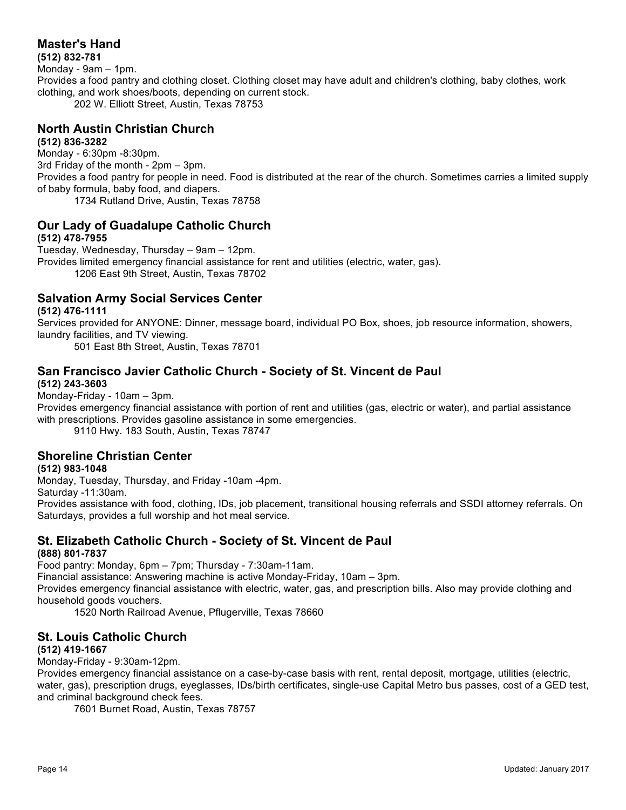# **Master's Hand**

**(512) 832-781** Monday - 9am – 1pm. Provides a food pantry and clothing closet. Clothing closet may have adult and children's clothing, baby clothes, work clothing, and work shoes/boots, depending on current stock. 202 W. Elliott Street, Austin, Texas 78753

#### **North Austin Christian Church (512) 836-3282**

Monday - 6:30pm -8:30pm. 3rd Friday of the month - 2pm – 3pm. Provides a food pantry for people in need. Food is distributed at the rear of the church. Sometimes carries a limited supply of baby formula, baby food, and diapers. 1734 Rutland Drive, Austin, Texas 78758

#### **Our Lady of Guadalupe Catholic Church (512) 478-7955**

Tuesday, Wednesday, Thursday – 9am – 12pm. Provides limited emergency financial assistance for rent and utilities (electric, water, gas). 1206 East 9th Street, Austin, Texas 78702

# **Salvation Army Social Services Center**

**(512) 476-1111**

Services provided for ANYONE: Dinner, message board, individual PO Box, shoes, job resource information, showers, laundry facilities, and TV viewing.

501 East 8th Street, Austin, Texas 78701

#### **San Francisco Javier Catholic Church - Society of St. Vincent de Paul (512) 243-3603**

Monday-Friday - 10am – 3pm.

Provides emergency financial assistance with portion of rent and utilities (gas, electric or water), and partial assistance with prescriptions. Provides gasoline assistance in some emergencies.

9110 Hwy. 183 South, Austin, Texas 78747

# **Shoreline Christian Center**

#### **(512) 983-1048**

Monday, Tuesday, Thursday, and Friday -10am -4pm.

Saturday -11:30am.

Provides assistance with food, clothing, IDs, job placement, transitional housing referrals and SSDI attorney referrals. On Saturdays, provides a full worship and hot meal service.

#### **St. Elizabeth Catholic Church - Society of St. Vincent de Paul (888) 801-7837**

Food pantry: Monday, 6pm – 7pm; Thursday - 7:30am-11am.

Financial assistance: Answering machine is active Monday-Friday, 10am – 3pm.

Provides emergency financial assistance with electric, water, gas, and prescription bills. Also may provide clothing and household goods vouchers.

1520 North Railroad Avenue, Pflugerville, Texas 78660

# **St. Louis Catholic Church**

#### **(512) 419-1667**

Monday-Friday - 9:30am-12pm.

Provides emergency financial assistance on a case-by-case basis with rent, rental deposit, mortgage, utilities (electric, water, gas), prescription drugs, eyeglasses, IDs/birth certificates, single-use Capital Metro bus passes, cost of a GED test, and criminal background check fees.

7601 Burnet Road, Austin, Texas 78757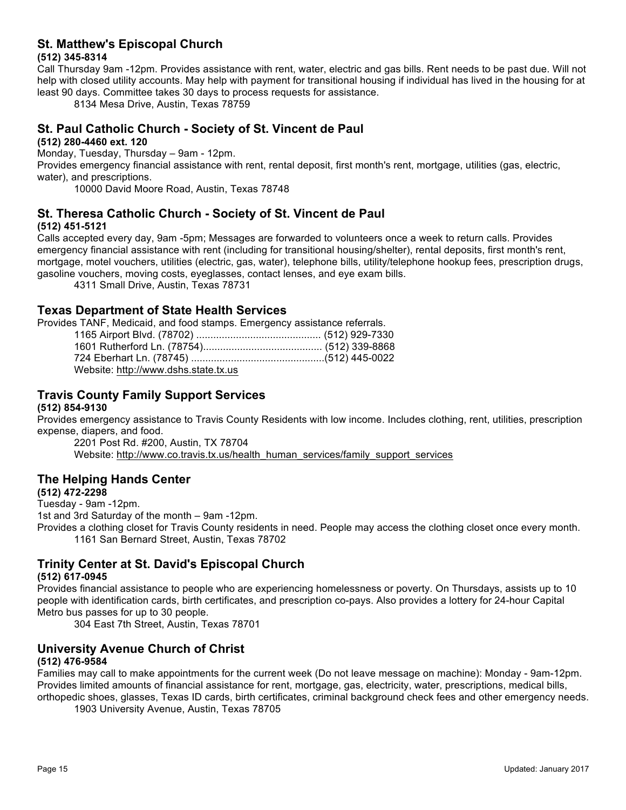# **St. Matthew's Episcopal Church**

#### **(512) 345-8314**

Call Thursday 9am -12pm. Provides assistance with rent, water, electric and gas bills. Rent needs to be past due. Will not help with closed utility accounts. May help with payment for transitional housing if individual has lived in the housing for at least 90 days. Committee takes 30 days to process requests for assistance.

8134 Mesa Drive, Austin, Texas 78759

# **St. Paul Catholic Church - Society of St. Vincent de Paul**

#### **(512) 280-4460 ext. 120**

Monday, Tuesday, Thursday – 9am - 12pm.

Provides emergency financial assistance with rent, rental deposit, first month's rent, mortgage, utilities (gas, electric, water), and prescriptions.

10000 David Moore Road, Austin, Texas 78748

#### **St. Theresa Catholic Church - Society of St. Vincent de Paul (512) 451-5121**

Calls accepted every day, 9am -5pm; Messages are forwarded to volunteers once a week to return calls. Provides emergency financial assistance with rent (including for transitional housing/shelter), rental deposits, first month's rent, mortgage, motel vouchers, utilities (electric, gas, water), telephone bills, utility/telephone hookup fees, prescription drugs, gasoline vouchers, moving costs, eyeglasses, contact lenses, and eye exam bills.

4311 Small Drive, Austin, Texas 78731

### **Texas Department of State Health Services**

Provides TANF, Medicaid, and food stamps. Emergency assistance referrals.

| Website: http://www.dshs.state.tx.us |  |
|--------------------------------------|--|

### **Travis County Family Support Services**

#### **(512) 854-9130**

Provides emergency assistance to Travis County Residents with low income. Includes clothing, rent, utilities, prescription expense, diapers, and food.

2201 Post Rd. #200, Austin, TX 78704 Website: http://www.co.travis.tx.us/health\_human\_services/family\_support\_services

# **The Helping Hands Center**

**(512) 472-2298**

Tuesday - 9am -12pm. 1st and 3rd Saturday of the month – 9am -12pm.

Provides a clothing closet for Travis County residents in need. People may access the clothing closet once every month. 1161 San Bernard Street, Austin, Texas 78702

# **Trinity Center at St. David's Episcopal Church**

#### **(512) 617-0945**

Provides financial assistance to people who are experiencing homelessness or poverty. On Thursdays, assists up to 10 people with identification cards, birth certificates, and prescription co-pays. Also provides a lottery for 24-hour Capital Metro bus passes for up to 30 people.

304 East 7th Street, Austin, Texas 78701

#### **University Avenue Church of Christ (512) 476-9584**

Families may call to make appointments for the current week (Do not leave message on machine): Monday - 9am-12pm. Provides limited amounts of financial assistance for rent, mortgage, gas, electricity, water, prescriptions, medical bills, orthopedic shoes, glasses, Texas ID cards, birth certificates, criminal background check fees and other emergency needs.

1903 University Avenue, Austin, Texas 78705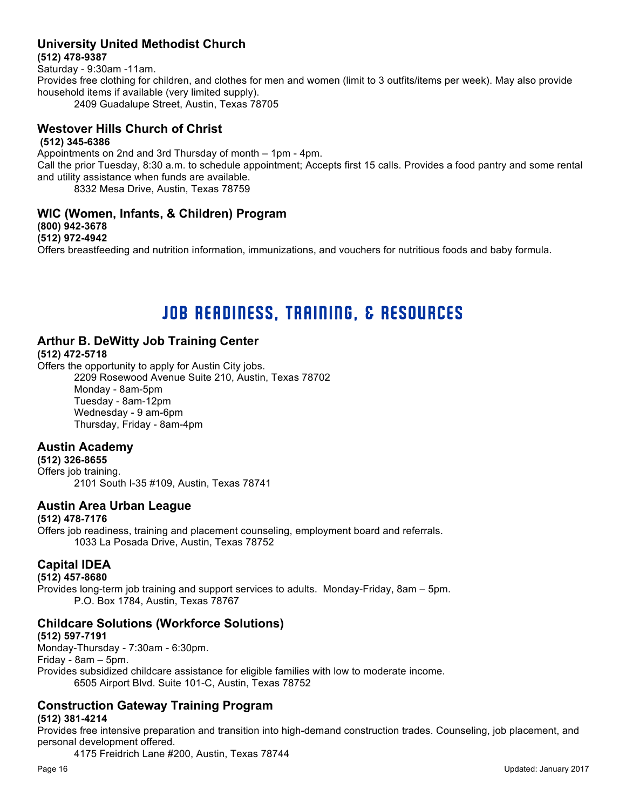#### **University United Methodist Church (512) 478-9387**

Saturday - 9:30am -11am. Provides free clothing for children, and clothes for men and women (limit to 3 outfits/items per week). May also provide household items if available (very limited supply). 2409 Guadalupe Street, Austin, Texas 78705

#### **Westover Hills Church of Christ (512) 345-6386**

Appointments on 2nd and 3rd Thursday of month – 1pm - 4pm. Call the prior Tuesday, 8:30 a.m. to schedule appointment; Accepts first 15 calls. Provides a food pantry and some rental and utility assistance when funds are available. 8332 Mesa Drive, Austin, Texas 78759

**WIC (Women, Infants, & Children) Program (800) 942-3678 (512) 972-4942**

Offers breastfeeding and nutrition information, immunizations, and vouchers for nutritious foods and baby formula.

# JOB READINESS, TRAINING, & RESOURCES

# **Arthur B. DeWitty Job Training Center**

#### **(512) 472-5718**

Offers the opportunity to apply for Austin City jobs. 2209 Rosewood Avenue Suite 210, Austin, Texas 78702 Monday - 8am-5pm Tuesday - 8am-12pm Wednesday - 9 am-6pm Thursday, Friday - 8am-4pm

# **Austin Academy**

**(512) 326-8655** Offers job training. 2101 South I-35 #109, Austin, Texas 78741

# **Austin Area Urban League**

#### **(512) 478-7176**

Offers job readiness, training and placement counseling, employment board and referrals. 1033 La Posada Drive, Austin, Texas 78752

# **Capital IDEA**

#### **(512) 457-8680**

Provides long-term job training and support services to adults. Monday-Friday, 8am – 5pm. P.O. Box 1784, Austin, Texas 78767

# **Childcare Solutions (Workforce Solutions)**

**(512) 597-7191** Monday-Thursday - 7:30am - 6:30pm. Friday - 8am – 5pm. Provides subsidized childcare assistance for eligible families with low to moderate income. 6505 Airport Blvd. Suite 101-C, Austin, Texas 78752

# **Construction Gateway Training Program**

#### **(512) 381-4214**

Provides free intensive preparation and transition into high-demand construction trades. Counseling, job placement, and personal development offered.

4175 Freidrich Lane #200, Austin, Texas 78744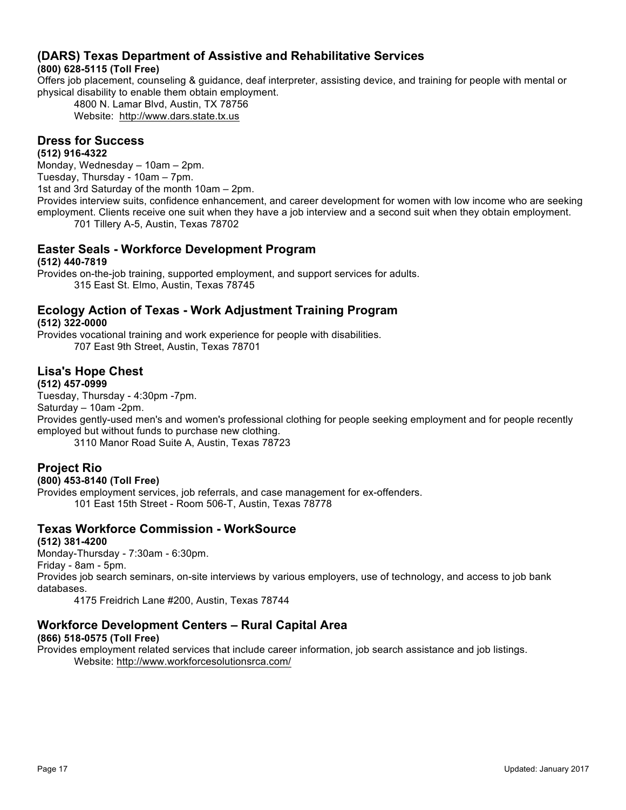# **(DARS) Texas Department of Assistive and Rehabilitative Services**

## **(800) 628-5115 (Toll Free)**

Offers job placement, counseling & guidance, deaf interpreter, assisting device, and training for people with mental or physical disability to enable them obtain employment.

4800 N. Lamar Blvd, Austin, TX 78756 Website: http://www.dars.state.tx.us

#### **Dress for Success**

#### **(512) 916-4322**

Monday, Wednesday – 10am – 2pm. Tuesday, Thursday - 10am – 7pm. 1st and 3rd Saturday of the month 10am – 2pm. Provides interview suits, confidence enhancement, and career development for women with low income who are seeking employment. Clients receive one suit when they have a job interview and a second suit when they obtain employment. 701 Tillery A-5, Austin, Texas 78702

# **Easter Seals - Workforce Development Program**

**(512) 440-7819**

Provides on-the-job training, supported employment, and support services for adults. 315 East St. Elmo, Austin, Texas 78745

#### **Ecology Action of Texas - Work Adjustment Training Program (512) 322-0000**

Provides vocational training and work experience for people with disabilities. 707 East 9th Street, Austin, Texas 78701

# **Lisa's Hope Chest**

**(512) 457-0999**

Tuesday, Thursday - 4:30pm -7pm.

Saturday – 10am -2pm.

Provides gently-used men's and women's professional clothing for people seeking employment and for people recently employed but without funds to purchase new clothing.

3110 Manor Road Suite A, Austin, Texas 78723

# **Project Rio**

#### **(800) 453-8140 (Toll Free)**

Provides employment services, job referrals, and case management for ex-offenders. 101 East 15th Street - Room 506-T, Austin, Texas 78778

# **Texas Workforce Commission - WorkSource**

**(512) 381-4200**

Monday-Thursday - 7:30am - 6:30pm.

Friday - 8am - 5pm.

Provides job search seminars, on-site interviews by various employers, use of technology, and access to job bank databases.

4175 Freidrich Lane #200, Austin, Texas 78744

# **Workforce Development Centers – Rural Capital Area**

#### **(866) 518-0575 (Toll Free)**

Provides employment related services that include career information, job search assistance and job listings. Website: http://www.workforcesolutionsrca.com/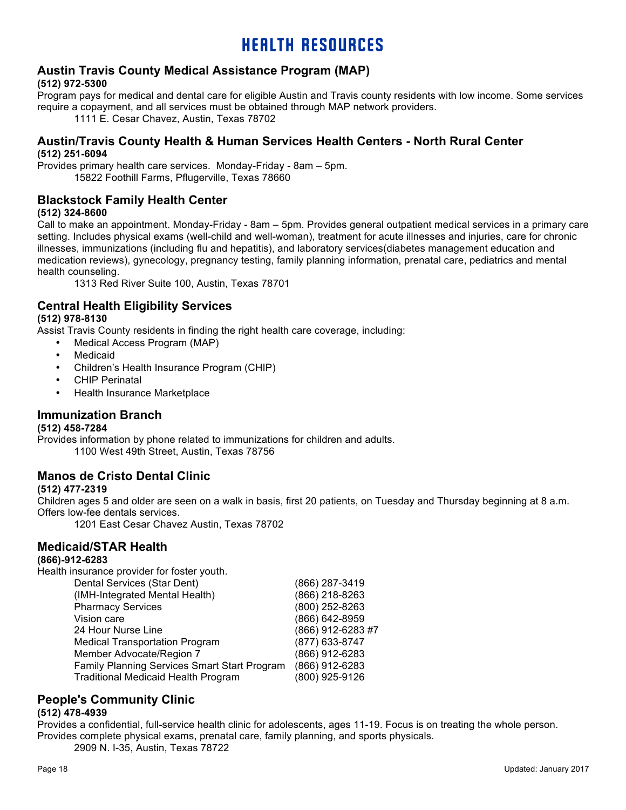# HEALTH RESOURCES

#### **Austin Travis County Medical Assistance Program (MAP) (512) 972-5300**

Program pays for medical and dental care for eligible Austin and Travis county residents with low income. Some services require a copayment, and all services must be obtained through MAP network providers.

1111 E. Cesar Chavez, Austin, Texas 78702

#### **Austin/Travis County Health & Human Services Health Centers - North Rural Center (512) 251-6094**

Provides primary health care services. Monday-Friday - 8am – 5pm. 15822 Foothill Farms, Pflugerville, Texas 78660

# **Blackstock Family Health Center**

#### **(512) 324-8600**

Call to make an appointment. Monday-Friday - 8am – 5pm. Provides general outpatient medical services in a primary care setting. Includes physical exams (well-child and well-woman), treatment for acute illnesses and injuries, care for chronic illnesses, immunizations (including flu and hepatitis), and laboratory services(diabetes management education and medication reviews), gynecology, pregnancy testing, family planning information, prenatal care, pediatrics and mental health counseling.

1313 Red River Suite 100, Austin, Texas 78701

### **Central Health Eligibility Services**

#### **(512) 978-8130**

Assist Travis County residents in finding the right health care coverage, including:

- Medical Access Program (MAP)
- **Medicaid**
- Children's Health Insurance Program (CHIP)
- CHIP Perinatal
- Health Insurance Marketplace

#### **Immunization Branch**

#### **(512) 458-7284**

Provides information by phone related to immunizations for children and adults. 1100 West 49th Street, Austin, Texas 78756

#### **Manos de Cristo Dental Clinic**

#### **(512) 477-2319**

Children ages 5 and older are seen on a walk in basis, first 20 patients, on Tuesday and Thursday beginning at 8 a.m. Offers low-fee dentals services.

1201 East Cesar Chavez Austin, Texas 78702

#### **Medicaid/STAR Health**

#### **(866)-912-6283**

Health insurance provider for foster youth.

| (866) 287-3419                               |
|----------------------------------------------|
| (866) 218-8263                               |
| (800) 252-8263                               |
| (866) 642-8959                               |
| (866) 912-6283 #7                            |
| (877) 633-8747                               |
| (866) 912-6283                               |
| (866) 912-6283                               |
| (800) 925-9126                               |
| Family Planning Services Smart Start Program |

# **People's Community Clinic**

#### **(512) 478-4939**

Provides a confidential, full-service health clinic for adolescents, ages 11-19. Focus is on treating the whole person. Provides complete physical exams, prenatal care, family planning, and sports physicals.

2909 N. I-35, Austin, Texas 78722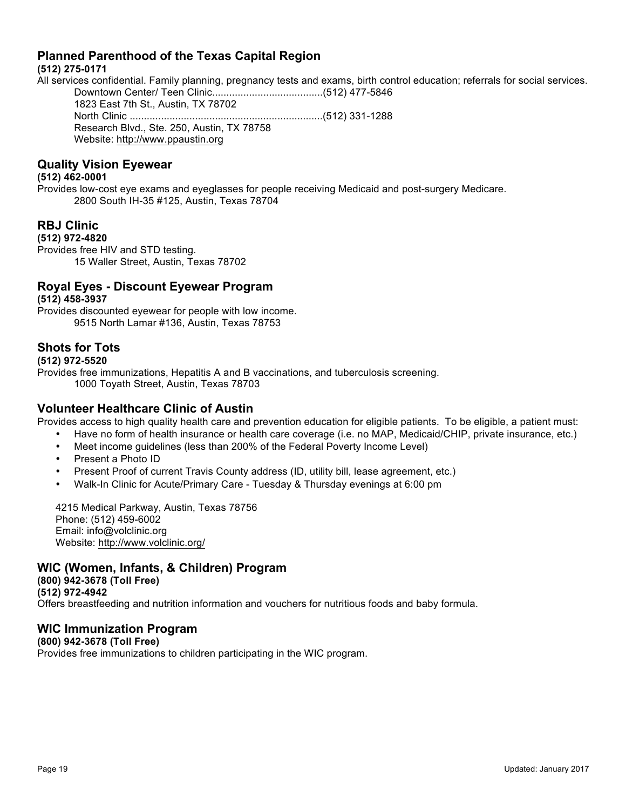# **Planned Parenthood of the Texas Capital Region**

#### **(512) 275-0171**

All services confidential. Family planning, pregnancy tests and exams, birth control education; referrals for social services. Downtown Center/ Teen Clinic.......................................(512) 477-5846

1823 East 7th St., Austin, TX 78702 North Clinic ....................................................................(512) 331-1288 Research Blvd., Ste. 250, Austin, TX 78758 Website: http://www.ppaustin.org

# **Quality Vision Eyewear**

#### **(512) 462-0001**

Provides low-cost eye exams and eyeglasses for people receiving Medicaid and post-surgery Medicare. 2800 South IH-35 #125, Austin, Texas 78704

# **RBJ Clinic**

#### **(512) 972-4820**

Provides free HIV and STD testing. 15 Waller Street, Austin, Texas 78702

# **Royal Eyes - Discount Eyewear Program**

#### **(512) 458-3937**

Provides discounted eyewear for people with low income. 9515 North Lamar #136, Austin, Texas 78753

### **Shots for Tots**

**(512) 972-5520**

Provides free immunizations, Hepatitis A and B vaccinations, and tuberculosis screening. 1000 Toyath Street, Austin, Texas 78703

# **Volunteer Healthcare Clinic of Austin**

Provides access to high quality health care and prevention education for eligible patients. To be eligible, a patient must:

- Have no form of health insurance or health care coverage (i.e. no MAP, Medicaid/CHIP, private insurance, etc.)
- Meet income guidelines (less than 200% of the Federal Poverty Income Level)
- Present a Photo ID
- Present Proof of current Travis County address (ID, utility bill, lease agreement, etc.)
- Walk-In Clinic for Acute/Primary Care Tuesday & Thursday evenings at 6:00 pm

4215 Medical Parkway, Austin, Texas 78756 Phone: (512) 459-6002 Email: info@volclinic.org Website: http://www.volclinic.org/

# **WIC (Women, Infants, & Children) Program**

**(800) 942-3678 (Toll Free) (512) 972-4942** Offers breastfeeding and nutrition information and vouchers for nutritious foods and baby formula.

# **WIC Immunization Program**

# **(800) 942-3678 (Toll Free)**

Provides free immunizations to children participating in the WIC program.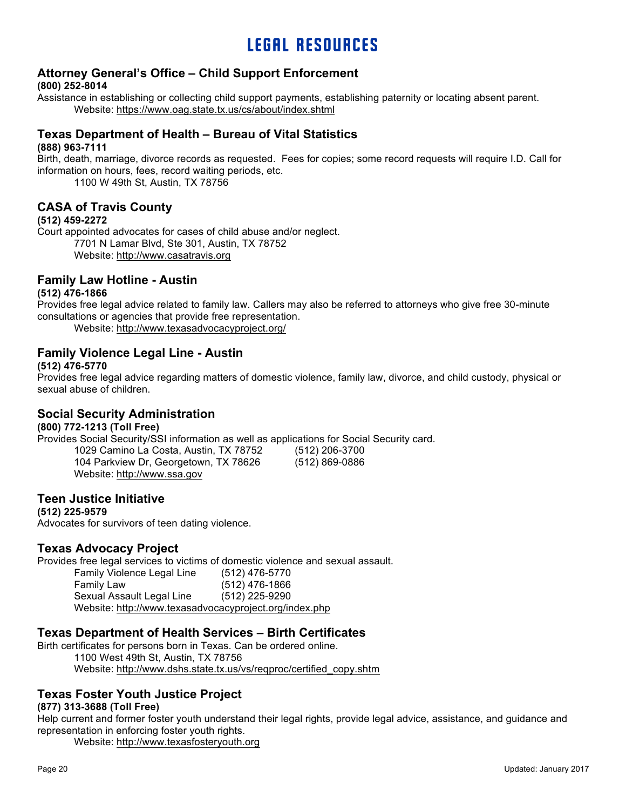# LEGAL RESOURCES

# **Attorney General's Office – Child Support Enforcement**

#### **(800) 252-8014**

Assistance in establishing or collecting child support payments, establishing paternity or locating absent parent. Website: https://www.oag.state.tx.us/cs/about/index.shtml

# **Texas Department of Health – Bureau of Vital Statistics**

#### **(888) 963-7111**

Birth, death, marriage, divorce records as requested. Fees for copies; some record requests will require I.D. Call for information on hours, fees, record waiting periods, etc.

1100 W 49th St, Austin, TX 78756

## **CASA of Travis County**

#### **(512) 459-2272**

Court appointed advocates for cases of child abuse and/or neglect. 7701 N Lamar Blvd, Ste 301, Austin, TX 78752 Website: http://www.casatravis.org

### **Family Law Hotline - Austin**

#### **(512) 476-1866**

Provides free legal advice related to family law. Callers may also be referred to attorneys who give free 30-minute consultations or agencies that provide free representation.

Website: http://www.texasadvocacyproject.org/

### **Family Violence Legal Line - Austin**

#### **(512) 476-5770**

Provides free legal advice regarding matters of domestic violence, family law, divorce, and child custody, physical or sexual abuse of children.

> (512) 206-3700 (512) 869-0886

#### **Social Security Administration**

#### **(800) 772-1213 (Toll Free)**

Provides Social Security/SSI information as well as applications for Social Security card.

| 1029 Camino La Costa, Austin, TX 78752 |
|----------------------------------------|
| 104 Parkview Dr, Georgetown, TX 78626  |
| Website: http://www.ssa.gov            |

#### **Teen Justice Initiative**

**(512) 225-9579** Advocates for survivors of teen dating violence.

# **Texas Advocacy Project**

Provides free legal services to victims of domestic violence and sexual assault.

| <b>Family Violence Legal Line</b>                      | (512) 476-5770   |
|--------------------------------------------------------|------------------|
| Family Law                                             | $(512)$ 476-1866 |
| Sexual Assault Legal Line                              | (512) 225-9290   |
| Website: http://www.texasadvocacyproject.org/index.php |                  |

#### **Texas Department of Health Services – Birth Certificates**

Birth certificates for persons born in Texas. Can be ordered online.

1100 West 49th St, Austin, TX 78756 Website: http://www.dshs.state.tx.us/vs/reqproc/certified\_copy.shtm

# **Texas Foster Youth Justice Project**

#### **(877) 313-3688 (Toll Free)**

Help current and former foster youth understand their legal rights, provide legal advice, assistance, and guidance and representation in enforcing foster youth rights.

Website: http://www.texasfosteryouth.org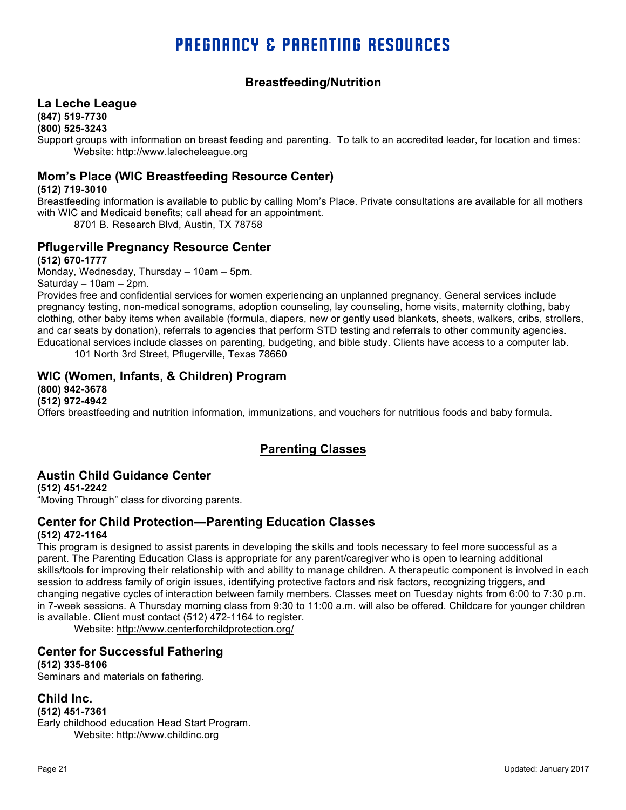# PREGNANCY & PARENTING RESOURCES

# **Breastfeeding/Nutrition**

#### **La Leche League**

**(847) 519-7730**

**(800) 525-3243**

Support groups with information on breast feeding and parenting. To talk to an accredited leader, for location and times: Website: http://www.lalecheleague.org

# **Mom's Place (WIC Breastfeeding Resource Center)**

#### **(512) 719-3010**

Breastfeeding information is available to public by calling Mom's Place. Private consultations are available for all mothers with WIC and Medicaid benefits; call ahead for an appointment.

8701 B. Research Blvd, Austin, TX 78758

### **Pflugerville Pregnancy Resource Center**

**(512) 670-1777**

Monday, Wednesday, Thursday – 10am – 5pm.

Saturday – 10am – 2pm.

Provides free and confidential services for women experiencing an unplanned pregnancy. General services include pregnancy testing, non-medical sonograms, adoption counseling, lay counseling, home visits, maternity clothing, baby clothing, other baby items when available (formula, diapers, new or gently used blankets, sheets, walkers, cribs, strollers, and car seats by donation), referrals to agencies that perform STD testing and referrals to other community agencies. Educational services include classes on parenting, budgeting, and bible study. Clients have access to a computer lab.

101 North 3rd Street, Pflugerville, Texas 78660

#### **WIC (Women, Infants, & Children) Program**

**(800) 942-3678** 

**(512) 972-4942**

Offers breastfeeding and nutrition information, immunizations, and vouchers for nutritious foods and baby formula.

# **Parenting Classes**

# **Austin Child Guidance Center**

**(512) 451-2242** "Moving Through" class for divorcing parents.

# **Center for Child Protection—Parenting Education Classes**

#### **(512) 472-1164**

This program is designed to assist parents in developing the skills and tools necessary to feel more successful as a parent. The Parenting Education Class is appropriate for any parent/caregiver who is open to learning additional skills/tools for improving their relationship with and ability to manage children. A therapeutic component is involved in each session to address family of origin issues, identifying protective factors and risk factors, recognizing triggers, and changing negative cycles of interaction between family members. Classes meet on Tuesday nights from 6:00 to 7:30 p.m. in 7-week sessions. A Thursday morning class from 9:30 to 11:00 a.m. will also be offered. Childcare for younger children is available. Client must contact (512) 472-1164 to register.

Website: http://www.centerforchildprotection.org/

#### **Center for Successful Fathering**

**(512) 335-8106**

Seminars and materials on fathering.

#### **Child Inc.**

**(512) 451-7361**

Early childhood education Head Start Program. Website: http://www.childinc.org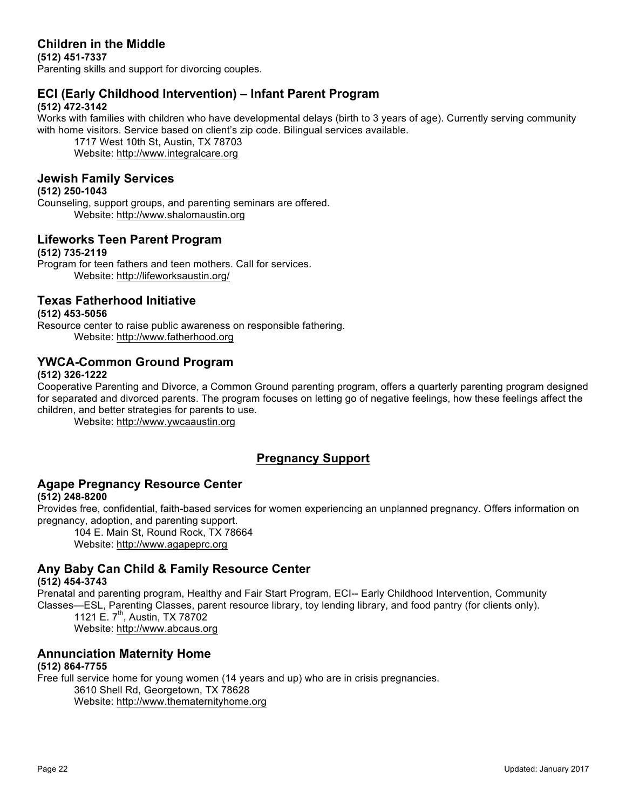# **Children in the Middle**

**(512) 451-7337** Parenting skills and support for divorcing couples.

# **ECI (Early Childhood Intervention) – Infant Parent Program**

#### **(512) 472-3142**

Works with families with children who have developmental delays (birth to 3 years of age). Currently serving community with home visitors. Service based on client's zip code. Bilingual services available.

1717 West 10th St, Austin, TX 78703 Website: http://www.integralcare.org

# **Jewish Family Services**

#### **(512) 250-1043**

Counseling, support groups, and parenting seminars are offered. Website: http://www.shalomaustin.org

### **Lifeworks Teen Parent Program**

#### **(512) 735-2119**

Program for teen fathers and teen mothers. Call for services. Website: http://lifeworksaustin.org/

# **Texas Fatherhood Initiative**

#### **(512) 453-5056**

Resource center to raise public awareness on responsible fathering. Website: http://www.fatherhood.org

# **YWCA-Common Ground Program**

#### **(512) 326-1222**

Cooperative Parenting and Divorce, a Common Ground parenting program, offers a quarterly parenting program designed for separated and divorced parents. The program focuses on letting go of negative feelings, how these feelings affect the children, and better strategies for parents to use.

Website: http://www.ywcaaustin.org

# **Pregnancy Support**

#### **Agape Pregnancy Resource Center (512) 248-8200**

Provides free, confidential, faith-based services for women experiencing an unplanned pregnancy. Offers information on pregnancy, adoption, and parenting support.

104 E. Main St, Round Rock, TX 78664 Website: http://www.agapeprc.org

# **Any Baby Can Child & Family Resource Center**

#### **(512) 454-3743**

Prenatal and parenting program, Healthy and Fair Start Program, ECI-- Early Childhood Intervention, Community Classes—ESL, Parenting Classes, parent resource library, toy lending library, and food pantry (for clients only).

1121 E. 7<sup>th</sup>, Austin, TX 78702 Website: http://www.abcaus.org

# **Annunciation Maternity Home**

#### **(512) 864-7755**

Free full service home for young women (14 years and up) who are in crisis pregnancies. 3610 Shell Rd, Georgetown, TX 78628

Website: http://www.thematernityhome.org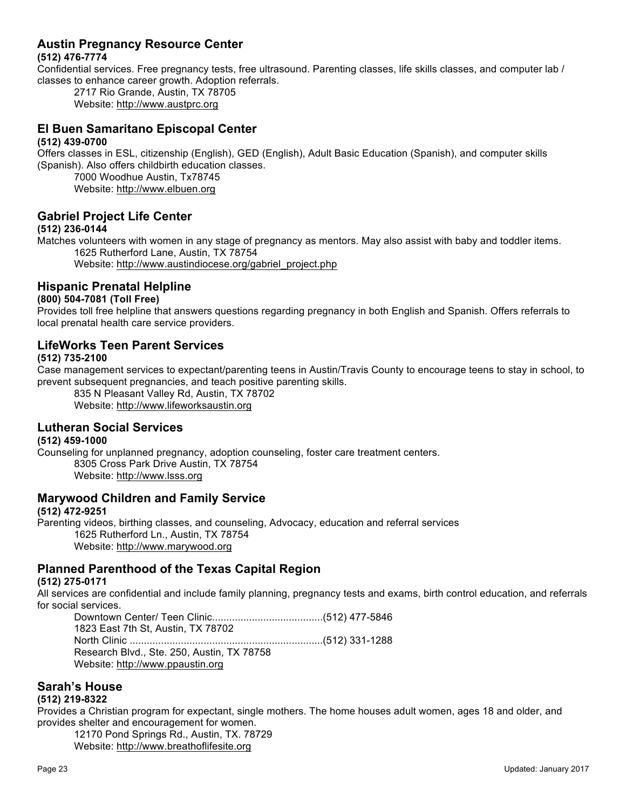# **Austin Pregnancy Resource Center**

#### **(512) 476-7774**

Confidential services. Free pregnancy tests, free ultrasound. Parenting classes, life skills classes, and computer lab / classes to enhance career growth. Adoption referrals.

2717 Rio Grande, Austin, TX 78705 Website: http://www.austprc.org

#### **El Buen Samaritano Episcopal Center (512) 439-0700**

Offers classes in ESL, citizenship (English), GED (English), Adult Basic Education (Spanish), and computer skills (Spanish). Also offers childbirth education classes.

7000 Woodhue Austin, Tx78745 Website: http://www.elbuen.org

# **Gabriel Project Life Center**

#### **(512) 236-0144**

Matches volunteers with women in any stage of pregnancy as mentors. May also assist with baby and toddler items. 1625 Rutherford Lane, Austin, TX 78754

Website: http://www.austindiocese.org/gabriel\_project.php

# **Hispanic Prenatal Helpline**

#### **(800) 504-7081 (Toll Free)**

Provides toll free helpline that answers questions regarding pregnancy in both English and Spanish. Offers referrals to local prenatal health care service providers.

#### **LifeWorks Teen Parent Services**

#### **(512) 735-2100**

Case management services to expectant/parenting teens in Austin/Travis County to encourage teens to stay in school, to prevent subsequent pregnancies, and teach positive parenting skills.

835 N Pleasant Valley Rd, Austin, TX 78702 Website: http://www.lifeworksaustin.org

# **Lutheran Social Services**

#### **(512) 459-1000**

Counseling for unplanned pregnancy, adoption counseling, foster care treatment centers. 8305 Cross Park Drive Austin, TX 78754 Website: http://www.lsss.org

#### **Marywood Children and Family Service**

#### **(512) 472-9251**

Parenting videos, birthing classes, and counseling, Advocacy, education and referral services 1625 Rutherford Ln., Austin, TX 78754 Website: http://www.marywood.org

# **Planned Parenthood of the Texas Capital Region**

#### **(512) 275-0171**

All services are confidential and include family planning, pregnancy tests and exams, birth control education, and referrals for social services.

Downtown Center/ Teen Clinic.......................................(512) 477-5846 1823 East 7th St, Austin, TX 78702 North Clinic ....................................................................(512) 331-1288 Research Blvd., Ste. 250, Austin, TX 78758 Website: http://www.ppaustin.org

#### **Sarah's House**

#### **(512) 219-8322**

Provides a Christian program for expectant, single mothers. The home houses adult women, ages 18 and older, and provides shelter and encouragement for women.

12170 Pond Springs Rd., Austin, TX. 78729

Website: http://www.breathoflifesite.org